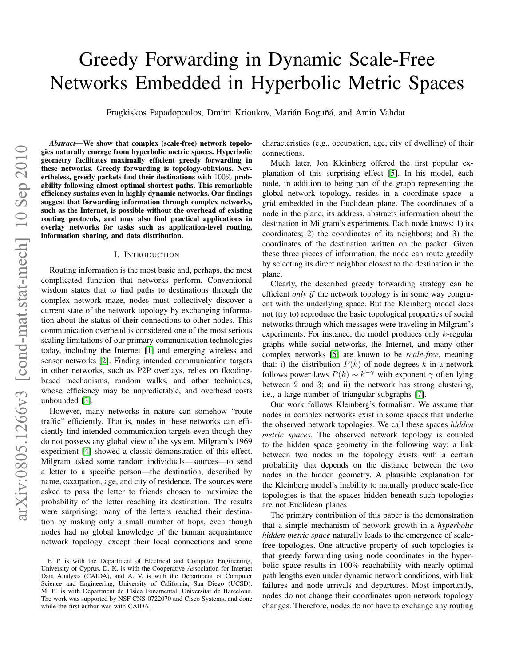# arXiv:0805.1266v3 [cond-mat.stat-mech] 10 Sep 2010 arXiv:0805.1266v3 [cond-mat.stat-mech] 10 Sep 2010

# Greedy Forwarding in Dynamic Scale-Free Networks Embedded in Hyperbolic Metric Spaces

Fragkiskos Papadopoulos, Dmitri Krioukov, Marián Boguñá, and Amin Vahdat

*Abstract*—We show that complex (scale-free) network topologies naturally emerge from hyperbolic metric spaces. Hyperbolic geometry facilitates maximally efficient greedy forwarding in these networks. Greedy forwarding is topology-oblivious. Nevertheless, greedy packets find their destinations with 100% probability following almost optimal shortest paths. This remarkable efficiency sustains even in highly dynamic networks. Our findings suggest that forwarding information through complex networks, such as the Internet, is possible without the overhead of existing routing protocols, and may also find practical applications in overlay networks for tasks such as application-level routing, information sharing, and data distribution.

# I. INTRODUCTION

Routing information is the most basic and, perhaps, the most complicated function that networks perform. Conventional wisdom states that to find paths to destinations through the complex network maze, nodes must collectively discover a current state of the network topology by exchanging information about the status of their connections to other nodes. This communication overhead is considered one of the most serious scaling limitations of our primary communication technologies today, including the Internet [\[1\]](#page-7-0) and emerging wireless and sensor networks [\[2\]](#page-7-1). Finding intended communication targets in other networks, such as P2P overlays, relies on floodingbased mechanisms, random walks, and other techniques, whose efficiency may be unpredictable, and overhead costs unbounded [\[3\]](#page-7-2).

However, many networks in nature can somehow "route traffic" efficiently. That is, nodes in these networks can efficiently find intended communication targets even though they do not possess any global view of the system. Milgram's 1969 experiment [\[4\]](#page-7-3) showed a classic demonstration of this effect. Milgram asked some random individuals—sources—to send a letter to a specific person—the destination, described by name, occupation, age, and city of residence. The sources were asked to pass the letter to friends chosen to maximize the probability of the letter reaching its destination. The results were surprising: many of the letters reached their destination by making only a small number of hops, even though nodes had no global knowledge of the human acquaintance network topology, except their local connections and some characteristics (e.g., occupation, age, city of dwelling) of their connections.

Much later, Jon Kleinberg offered the first popular explanation of this surprising effect [\[5\]](#page-7-4). In his model, each node, in addition to being part of the graph representing the global network topology, resides in a coordinate space—a grid embedded in the Euclidean plane. The coordinates of a node in the plane, its address, abstracts information about the destination in Milgram's experiments. Each node knows: 1) its coordinates; 2) the coordinates of its neighbors; and 3) the coordinates of the destination written on the packet. Given these three pieces of information, the node can route greedily by selecting its direct neighbor closest to the destination in the plane.

Clearly, the described greedy forwarding strategy can be efficient *only if* the network topology is in some way congruent with the underlying space. But the Kleinberg model does not (try to) reproduce the basic topological properties of social networks through which messages were traveling in Milgram's experiments. For instance, the model produces only  $k$ -regular graphs while social networks, the Internet, and many other complex networks [\[6\]](#page-7-5) are known to be *scale-free*, meaning that: i) the distribution  $P(k)$  of node degrees k in a network follows power laws  $P(k) \sim k^{-\gamma}$  with exponent  $\gamma$  often lying between 2 and 3; and ii) the network has strong clustering, i.e., a large number of triangular subgraphs [\[7\]](#page-7-6).

Our work follows Kleinberg's formalism. We assume that nodes in complex networks exist in some spaces that underlie the observed network topologies. We call these spaces *hidden metric spaces*. The observed network topology is coupled to the hidden space geometry in the following way: a link between two nodes in the topology exists with a certain probability that depends on the distance between the two nodes in the hidden geometry. A plausible explanation for the Kleinberg model's inability to naturally produce scale-free topologies is that the spaces hidden beneath such topologies are not Euclidean planes.

The primary contribution of this paper is the demonstration that a simple mechanism of network growth in a *hyperbolic hidden metric space* naturally leads to the emergence of scalefree topologies. One attractive property of such topologies is that greedy forwarding using node coordinates in the hyperbolic space results in 100% reachability with nearly optimal path lengths even under dynamic network conditions, with link failures and node arrivals and departures. Most importantly, nodes do not change their coordinates upon network topology changes. Therefore, nodes do not have to exchange any routing

F. P. is with the Department of Electrical and Computer Engineering, University of Cyprus. D. K. is with the Cooperative Association for Internet Data Analysis (CAIDA), and A. V. is with the Department of Computer Science and Engineering, University of California, San Diego (UCSD). M. B. is with Department de Física Fonamental, Universitat de Barcelona. The work was supported by NSF CNS-0722070 and Cisco Systems, and done while the first author was with CAIDA.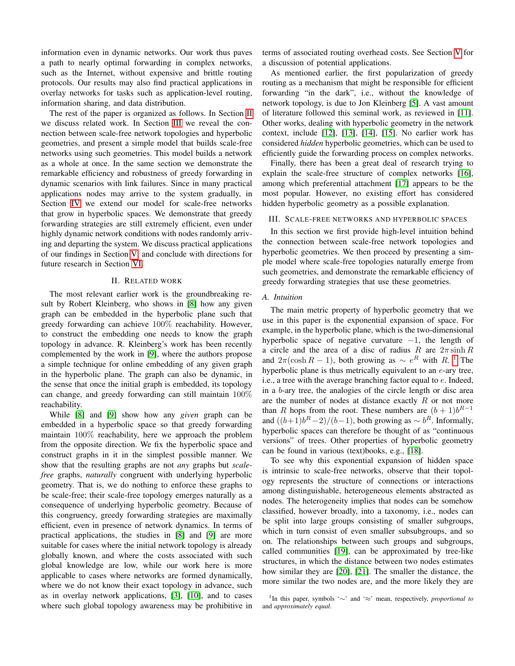information even in dynamic networks. Our work thus paves a path to nearly optimal forwarding in complex networks, such as the Internet, without expensive and brittle routing protocols. Our results may also find practical applications in overlay networks for tasks such as application-level routing, information sharing, and data distribution.

The rest of the paper is organized as follows. In Section [II](#page-1-0) we discuss related work. In Section [III](#page-1-1) we reveal the connection between scale-free network topologies and hyperbolic geometries, and present a simple model that builds scale-free networks using such geometries. This model builds a network as a whole at once. In the same section we demonstrate the remarkable efficiency and robustness of greedy forwarding in dynamic scenarios with link failures. Since in many practical applications nodes may arrive to the system gradually, in Section [IV](#page-4-0) we extend our model for scale-free networks that grow in hyperbolic spaces. We demonstrate that greedy forwarding strategies are still extremely efficient, even under highly dynamic network conditions with nodes randomly arriving and departing the system. We discuss practical applications of our findings in Section [V,](#page-6-0) and conclude with directions for future research in Section [VI.](#page-7-7)

# II. RELATED WORK

<span id="page-1-0"></span>The most relevant earlier work is the groundbreaking result by Robert Kleinberg, who shows in [\[8\]](#page-7-8) how any given graph can be embedded in the hyperbolic plane such that greedy forwarding can achieve 100% reachability. However, to construct the embedding one needs to know the graph topology in advance. R. Kleinberg's work has been recently complemented by the work in [\[9\]](#page-7-9), where the authors propose a simple technique for online embedding of any given graph in the hyperbolic plane. The graph can also be dynamic, in the sense that once the initial graph is embedded, its topology can change, and greedy forwarding can still maintain 100% reachability.

While [\[8\]](#page-7-8) and [\[9\]](#page-7-9) show how any *given* graph can be embedded in a hyperbolic space so that greedy forwarding maintain 100% reachability, here we approach the problem from the opposite direction. We fix the hyperbolic space and construct graphs in it in the simplest possible manner. We show that the resulting graphs are not *any* graphs but *scalefree* graphs, *naturally* congruent with underlying hyperbolic geometry. That is, we do nothing to enforce these graphs to be scale-free; their scale-free topology emerges naturally as a consequence of underlying hyperbolic geometry. Because of this congruency, greedy forwarding strategies are maximally efficient, even in presence of network dynamics. In terms of practical applications, the studies in [\[8\]](#page-7-8) and [\[9\]](#page-7-9) are more suitable for cases where the initial network topology is already globally known, and where the costs associated with such global knowledge are low, while our work here is more applicable to cases where networks are formed dynamically, where we do not know their exact topology in advance, such as in overlay network applications, [\[3\]](#page-7-2), [\[10\]](#page-7-10), and to cases where such global topology awareness may be prohibitive in terms of associated routing overhead costs. See Section [V](#page-6-0) for a discussion of potential applications.

As mentioned earlier, the first popularization of greedy routing as a mechanism that might be responsible for efficient forwarding "in the dark", i.e., without the knowledge of network topology, is due to Jon Kleinberg [\[5\]](#page-7-4). A vast amount of literature followed this seminal work, as reviewed in [\[11\]](#page-7-11). Other works, dealing with hyperbolic geometry in the network context, include [\[12\]](#page-7-12), [\[13\]](#page-7-13), [\[14\]](#page-7-14), [\[15\]](#page-8-0). No earlier work has considered *hidden* hyperbolic geometries, which can be used to efficiently guide the forwarding process on complex networks.

Finally, there has been a great deal of research trying to explain the scale-free structure of complex networks [\[16\]](#page-8-1), among which preferential attachment [\[17\]](#page-8-2) appears to be the most popular. However, no existing effort has considered hidden hyperbolic geometry as a possible explanation.

# <span id="page-1-1"></span>III. SCALE-FREE NETWORKS AND HYPERBOLIC SPACES

In this section we first provide high-level intuition behind the connection between scale-free network topologies and hyperbolic geometries. We then proceed by presenting a simple model where scale-free topologies naturally emerge from such geometries, and demonstrate the remarkable efficiency of greedy forwarding strategies that use these geometries.

# *A. Intuition*

The main metric property of hyperbolic geometry that we use in this paper is the exponential expansion of space. For example, in the hyperbolic plane, which is the two-dimensional hyperbolic space of negative curvature  $-1$ , the length of a circle and the area of a disc of radius R are  $2\pi \sinh R$ and  $2\pi(\cosh R - 1)$  $2\pi(\cosh R - 1)$  $2\pi(\cosh R - 1)$ , both growing as  $\sim e^R$  with R.<sup>1</sup> The hyperbolic plane is thus metrically equivalent to an  $e$ -ary tree, i.e., a tree with the average branching factor equal to e. Indeed, in a b-ary tree, the analogies of the circle length or disc area are the number of nodes at distance exactly  $R$  or not more than R hops from the root. These numbers are  $(b+1)b^{R-1}$ and  $((b+1)b<sup>R</sup> – 2)/(b-1)$ , both growing as  $\sim b<sup>R</sup>$ . Informally, hyperbolic spaces can therefore be thought of as "continuous versions" of trees. Other properties of hyperbolic geometry can be found in various (text)books, e.g., [\[18\]](#page-8-3).

To see why this exponential expansion of hidden space is intrinsic to scale-free networks, observe that their topology represents the structure of connections or interactions among distinguishable, heterogeneous elements abstracted as nodes. The heterogeneity implies that nodes can be somehow classified, however broadly, into a taxonomy, i.e., nodes can be split into large groups consisting of smaller subgroups, which in turn consist of even smaller subsubgroups, and so on. The relationships between such groups and subgroups, called communities [\[19\]](#page-8-4), can be approximated by tree-like structures, in which the distance between two nodes estimates how similar they are [\[20\]](#page-8-5), [\[21\]](#page-8-6). The smaller the distance, the more similar the two nodes are, and the more likely they are

<span id="page-1-2"></span><sup>1</sup> In this paper, symbols '∼' and '≈' mean, respectively, *proportional to* and *approximately equal*.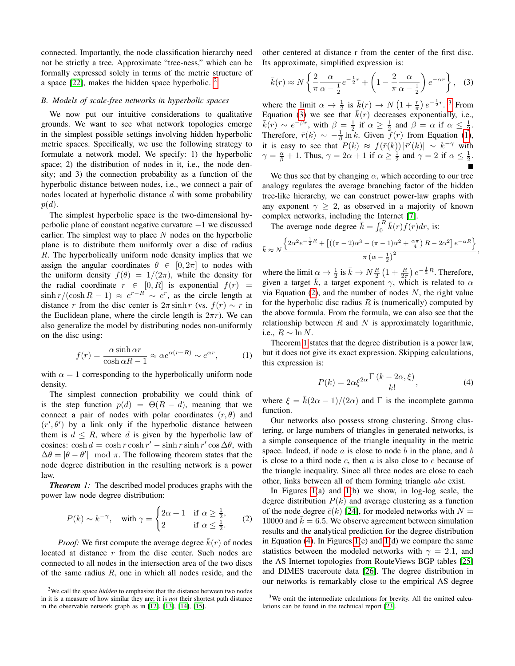connected. Importantly, the node classification hierarchy need not be strictly a tree. Approximate "tree-ness," which can be formally expressed solely in terms of the metric structure of a space [\[22\]](#page-8-7), makes the hidden space hyperbolic. [2](#page-2-0)

# *B. Models of scale-free networks in hyperbolic spaces*

We now put our intuitive considerations to qualitative grounds. We want to see what network topologies emerge in the simplest possible settings involving hidden hyperbolic metric spaces. Specifically, we use the following strategy to formulate a network model. We specify: 1) the hyperbolic space; 2) the distribution of nodes in it, i.e., the node density; and 3) the connection probability as a function of the hyperbolic distance between nodes, i.e., we connect a pair of nodes located at hyperbolic distance  $d$  with some probability  $p(d).$ 

The simplest hyperbolic space is the two-dimensional hyperbolic plane of constant negative curvature −1 we discussed earlier. The simplest way to place  $N$  nodes on the hyperbolic plane is to distribute them uniformly over a disc of radius R. The hyperbolically uniform node density implies that we assign the angular coordinates  $\theta \in [0, 2\pi]$  to nodes with the uniform density  $f(\theta) = 1/(2\pi)$ , while the density for the radial coordinate  $r \in [0, R]$  is exponential  $f(r) =$  $\sinh(r/(\cosh R - 1) \approx e^{r-R} \sim e^r$ , as the circle length at distance r from the disc center is  $2\pi \sinh r$  (vs.  $f(r) \sim r$  in the Euclidean plane, where the circle length is  $2\pi r$ ). We can also generalize the model by distributing nodes non-uniformly on the disc using:

<span id="page-2-3"></span>
$$
f(r) = \frac{\alpha \sinh \alpha r}{\cosh \alpha R - 1} \approx \alpha e^{\alpha (r - R)} \sim e^{\alpha r},\tag{1}
$$

with  $\alpha = 1$  corresponding to the hyperbolically uniform node density.

The simplest connection probability we could think of is the step function  $p(d) = \Theta(R - d)$ , meaning that we connect a pair of nodes with polar coordinates  $(r, \theta)$  and  $(r', \theta')$  by a link only if the hyperbolic distance between them is  $d \leq R$ , where d is given by the hyperbolic law of cosines:  $\cosh d = \cosh r \cosh r' - \sinh r \sinh r' \cos \Delta \theta$ , with  $\Delta\theta = |\theta - \theta'|$  mod  $\pi$ . The following theorem states that the node degree distribution in the resulting network is a power law.

<span id="page-2-5"></span>*Theorem 1:* The described model produces graphs with the power law node degree distribution:

<span id="page-2-4"></span>
$$
P(k) \sim k^{-\gamma}, \quad \text{with } \gamma = \begin{cases} 2\alpha + 1 & \text{if } \alpha \ge \frac{1}{2}, \\ 2 & \text{if } \alpha \le \frac{1}{2}. \end{cases} \tag{2}
$$

*Proof:* We first compute the average degree  $k(r)$  of nodes located at distance r from the disc center. Such nodes are connected to all nodes in the intersection area of the two discs of the same radius  $R$ , one in which all nodes reside, and the

<span id="page-2-0"></span><sup>2</sup>We call the space *hidden* to emphasize that the distance between two nodes in it is a measure of how similar they are; it is *not* their shortest path distance in the observable network graph as in [\[12\]](#page-7-12), [\[13\]](#page-7-13), [\[14\]](#page-7-14), [\[15\]](#page-8-0).

other centered at distance r from the center of the first disc. Its approximate, simplified expression is:

<span id="page-2-2"></span>
$$
\bar{k}(r) \approx N \left\{ \frac{2}{\pi} \frac{\alpha}{\alpha - \frac{1}{2}} e^{-\frac{1}{2}r} + \left( 1 - \frac{2}{\pi} \frac{\alpha}{\alpha - \frac{1}{2}} \right) e^{-\alpha r} \right\}, \quad (3)
$$

where the limit  $\alpha \to \frac{1}{2}$  is  $\bar{k}(r) \to N(1+\frac{r}{\pi})e^{-\frac{1}{2}r}$ .<sup>[3](#page-2-1)</sup> From Equation [\(3\)](#page-2-2) we see that  $\bar{k}(r)$  decreases exponentially, i.e.,  $\overline{k}(r) \sim e^{-\beta r}$ , with  $\beta = \frac{1}{2}$  if  $\alpha \ge \frac{1}{2}$  and  $\beta = \alpha$  if  $\alpha \le \frac{1}{2}$ . Therefore,  $\bar{r}(k) \sim -\frac{1}{\beta} \ln k$ . Given  $f(r)$  from Equation [\(1\)](#page-2-3), it is easy to see that  $P(k) \approx f(\bar{r}(k)) |\bar{r}'(k)| \sim k^{-\gamma}$  with  $\gamma = \frac{\alpha}{\beta} + 1$ . Thus,  $\gamma = 2\alpha + 1$  if  $\alpha \ge \frac{1}{2}$  and  $\gamma = 2$  if  $\alpha \le \frac{1}{2}$ .

We thus see that by changing  $\alpha$ , which according to our tree analogy regulates the average branching factor of the hidden tree-like hierarchy, we can construct power-law graphs with any exponent  $\gamma > 2$ , as observed in a majority of known complex networks, including the Internet [\[7\]](#page-7-6).

The average node degree  $\bar{k} = \int_0^R \bar{k}(r) f(r) dr$ , is:

<span id="page-2-6"></span>
$$
\bar{k} \approx N \frac{\left\{2\alpha^2 e^{-\frac{1}{2}R} + \left[\left((\pi - 2)\alpha^3 - (\pi - 1)\alpha^2 + \frac{\alpha \pi}{4}\right)R - 2\alpha^2\right]e^{-\alpha R}\right\}}{\pi \left(\alpha - \frac{1}{2}\right)^2}
$$

,

where the limit  $\underline{\alpha} \to \frac{1}{2}$  is  $\bar{k} \to N\frac{R}{2} \left(1 + \frac{R}{2\pi}\right) e^{-\frac{1}{2}R}$ . Therefore, given a target  $\overline{k}$ , a target exponent  $\gamma$ , which is related to  $\alpha$ via Equation [\(2\)](#page-2-4), and the number of nodes  $N$ , the right value for the hyperbolic disc radius  $R$  is (numerically) computed by the above formula. From the formula, we can also see that the relationship between  $R$  and  $N$  is approximately logarithmic, i.e.,  $R \sim \ln N$ .

Theorem [1](#page-2-5) states that the degree distribution is a power law, but it does not give its exact expression. Skipping calculations, this expression is:

$$
P(k) = 2\alpha \xi^{2\alpha} \frac{\Gamma(k - 2\alpha, \xi)}{k!},
$$
\n(4)

where  $\xi = \bar{k}(2\alpha - 1)/(2\alpha)$  and  $\Gamma$  is the incomplete gamma function.

Our networks also possess strong clustering. Strong clustering, or large numbers of triangles in generated networks, is a simple consequence of the triangle inequality in the metric space. Indeed, if node  $\alpha$  is close to node  $\delta$  in the plane, and  $\delta$ is close to a third node  $c$ , then  $a$  is also close to  $c$  because of the triangle inequality. Since all three nodes are close to each other, links between all of them forming triangle abc exist.

In Figures  $1(a)$  and  $1(b)$  we show, in log-log scale, the degree distribution  $P(k)$  and average clustering as a function of the node degree  $\bar{c}(k)$  [\[24\]](#page-8-8), for modeled networks with  $N =$ 10000 and  $k = 6.5$ . We observe agreement between simulation results and the analytical prediction for the degree distribution in Equation [\(4\)](#page-2-6). In Figures [1\(](#page-3-0)c) and 1(d) we compare the same statistics between the modeled networks with  $\gamma = 2.1$ , and the AS Internet topologies from RouteViews BGP tables [\[25\]](#page-8-9) and DIMES traceroute data [\[26\]](#page-8-10). The degree distribution in our networks is remarkably close to the empirical AS degree

<span id="page-2-1"></span><sup>&</sup>lt;sup>3</sup>We omit the intermediate calculations for brevity. All the omitted calculations can be found in the technical report [\[23\]](#page-8-11).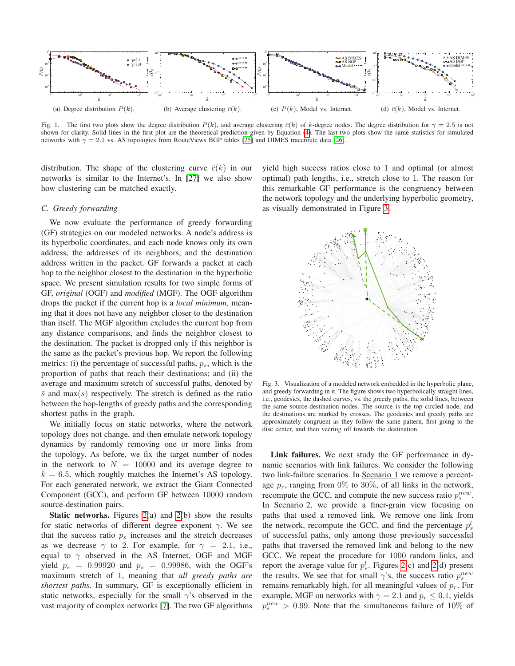

<span id="page-3-0"></span>Fig. 1. The first two plots show the degree distribution  $P(k)$ , and average clustering  $\bar{c}(k)$  of k-degree nodes. The degree distribution for  $\gamma = 2.5$  is not shown for clarity. Solid lines in the first plot are the theoretical prediction given by Equation [\(4\)](#page-2-6). The last two plots show the same statistics for simulated networks with  $\gamma = 2.1$  vs. AS topologies from RouteViews BGP tables [\[25\]](#page-8-9) and DIMES traceroute data [\[26\]](#page-8-10).

distribution. The shape of the clustering curve  $\bar{c}(k)$  in our networks is similar to the Internet's. In [\[27\]](#page-8-12) we also show how clustering can be matched exactly.

# *C. Greedy forwarding*

We now evaluate the performance of greedy forwarding (GF) strategies on our modeled networks. A node's address is its hyperbolic coordinates, and each node knows only its own address, the addresses of its neighbors, and the destination address written in the packet. GF forwards a packet at each hop to the neighbor closest to the destination in the hyperbolic space. We present simulation results for two simple forms of GF, *original* (OGF) and *modified* (MGF). The OGF algorithm drops the packet if the current hop is a *local minimum*, meaning that it does not have any neighbor closer to the destination than itself. The MGF algorithm excludes the current hop from any distance comparisons, and finds the neighbor closest to the destination. The packet is dropped only if this neighbor is the same as the packet's previous hop. We report the following metrics: (i) the percentage of successful paths,  $p_s$ , which is the proportion of paths that reach their destinations; and (ii) the average and maximum stretch of successful paths, denoted by  $\overline{s}$  and max(s) respectively. The stretch is defined as the ratio between the hop-lengths of greedy paths and the corresponding shortest paths in the graph.

We initially focus on static networks, where the network topology does not change, and then emulate network topology dynamics by randomly removing one or more links from the topology. As before, we fix the target number of nodes in the network to  $N = 10000$  and its average degree to  $k = 6.5$ , which roughly matches the Internet's AS topology. For each generated network, we extract the Giant Connected Component (GCC), and perform GF between 10000 random source-destination pairs.

Static networks. Figures [2\(](#page-4-1)a) and [2\(](#page-4-1)b) show the results for static networks of different degree exponent  $\gamma$ . We see that the success ratio  $p<sub>s</sub>$  increases and the stretch decreases as we decrease  $\gamma$  to 2. For example, for  $\gamma = 2.1$ , i.e., equal to  $\gamma$  observed in the AS Internet, OGF and MGF yield  $p_s = 0.99920$  and  $p_s = 0.99986$ , with the OGF's maximum stretch of 1, meaning that *all greedy paths are shortest paths*. In summary, GF is exceptionally efficient in static networks, especially for the small  $\gamma$ 's observed in the vast majority of complex networks [\[7\]](#page-7-6). The two GF algorithms

yield high success ratios close to 1 and optimal (or almost optimal) path lengths, i.e., stretch close to 1. The reason for this remarkable GF performance is the congruency between the network topology and the underlying hyperbolic geometry, as visually demonstrated in Figure [3.](#page-3-1)



<span id="page-3-1"></span>Fig. 3. Visualization of a modeled network embedded in the hyperbolic plane, and greedy forwarding in it. The figure shows two hyperbolically straight lines, i.e., geodesics, the dashed curves, vs. the greedy paths, the solid lines, between the same source-destination nodes. The source is the top circled node, and the destinations are marked by crosses. The geodesics and greedy paths are approximately congruent as they follow the same pattern, first going to the disc center, and then veering off towards the destination.

Link failures. We next study the GF performance in dynamic scenarios with link failures. We consider the following two link-failure scenarios. In Scenario 1 we remove a percentage  $p_r$ , ranging from 0% to 30%, of all links in the network, recompute the GCC, and compute the new success ratio  $p_s^{new}$ . In Scenario 2, we provide a finer-grain view focusing on paths that used a removed link. We remove one link from the network, recompute the GCC, and find the percentage  $p_s^l$ of successful paths, only among those previously successful paths that traversed the removed link and belong to the new GCC. We repeat the procedure for 1000 random links, and report the average value for  $p_s^l$ . Figures [2\(](#page-4-1)c) and 2(d) present the results. We see that for small  $\gamma$ 's, the success ratio  $p_s^{new}$ remains remarkably high, for all meaningful values of  $p_r$ . For example, MGF on networks with  $\gamma = 2.1$  and  $p_r \leq 0.1$ , yields  $p_s^{new} > 0.99$ . Note that the simultaneous failure of 10% of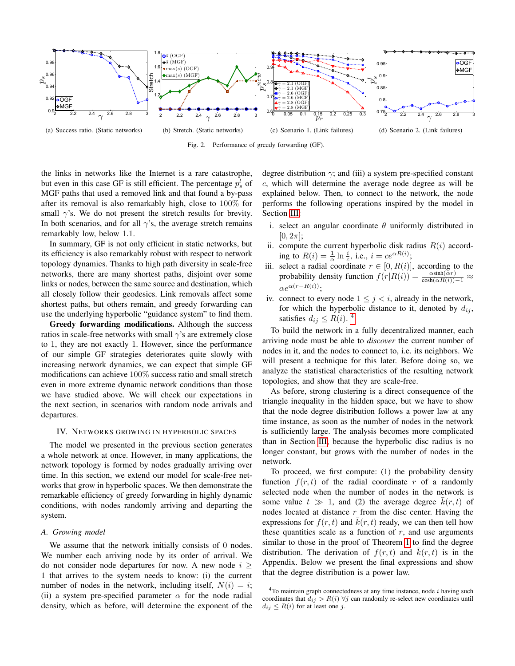

<span id="page-4-1"></span>Fig. 2. Performance of greedy forwarding (GF).

the links in networks like the Internet is a rare catastrophe, but even in this case GF is still efficient. The percentage  $p_s^l$  of MGF paths that used a removed link and that found a by-pass after its removal is also remarkably high, close to 100% for small  $\gamma$ 's. We do not present the stretch results for brevity. In both scenarios, and for all  $\gamma$ 's, the average stretch remains remarkably low, below 1.1.

In summary, GF is not only efficient in static networks, but its efficiency is also remarkably robust with respect to network topology dynamics. Thanks to high path diversity in scale-free networks, there are many shortest paths, disjoint over some links or nodes, between the same source and destination, which all closely follow their geodesics. Link removals affect some shortest paths, but others remain, and greedy forwarding can use the underlying hyperbolic "guidance system" to find them.

Greedy forwarding modifications. Although the success ratios in scale-free networks with small  $\gamma$ 's are extremely close to 1, they are not exactly 1. However, since the performance of our simple GF strategies deteriorates quite slowly with increasing network dynamics, we can expect that simple GF modifications can achieve 100% success ratio and small stretch even in more extreme dynamic network conditions than those we have studied above. We will check our expectations in the next section, in scenarios with random node arrivals and departures.

#### <span id="page-4-0"></span>IV. NETWORKS GROWING IN HYPERBOLIC SPACES

The model we presented in the previous section generates a whole network at once. However, in many applications, the network topology is formed by nodes gradually arriving over time. In this section, we extend our model for scale-free networks that grow in hyperbolic spaces. We then demonstrate the remarkable efficiency of greedy forwarding in highly dynamic conditions, with nodes randomly arriving and departing the system.

## *A. Growing model*

We assume that the network initially consists of 0 nodes. We number each arriving node by its order of arrival. We do not consider node departures for now. A new node  $i >$ 1 that arrives to the system needs to know: (i) the current number of nodes in the network, including itself,  $N(i) = i$ ; (ii) a system pre-specified parameter  $\alpha$  for the node radial density, which as before, will determine the exponent of the

degree distribution  $\gamma$ ; and (iii) a system pre-specified constant c, which will determine the average node degree as will be explained below. Then, to connect to the network, the node performs the following operations inspired by the model in Section [III:](#page-1-1)

- i. select an angular coordinate  $\theta$  uniformly distributed in  $[0, 2\pi]$ ;
- ii. compute the current hyperbolic disk radius  $R(i)$  according to  $R(i) = \frac{1}{\alpha} \ln \frac{i}{c}$ , i.e.,  $i = ce^{\alpha R(i)}$ ;
- iii. select a radial coordinate  $r \in [0, R(i)]$ , according to the probability density function  $f(r|R(i)) = \frac{\alpha \sinh(\alpha r)}{\cosh(\alpha R(i)) - 1} \approx$  $\alpha e^{\alpha(r-R(i))}$ ;
- iv. connect to every node  $1 \leq j \leq i$ , already in the network, for which the hyperbolic distance to it, denoted by  $d_{ij}$ , satisfies  $d_{ij} \leq R(i)$ .<sup>[4](#page-4-2)</sup>

To build the network in a fully decentralized manner, each arriving node must be able to *discover* the current number of nodes in it, and the nodes to connect to, i.e. its neighbors. We will present a technique for this later. Before doing so, we analyze the statistical characteristics of the resulting network topologies, and show that they are scale-free.

As before, strong clustering is a direct consequence of the triangle inequality in the hidden space, but we have to show that the node degree distribution follows a power law at any time instance, as soon as the number of nodes in the network is sufficiently large. The analysis becomes more complicated than in Section [III,](#page-1-1) because the hyperbolic disc radius is no longer constant, but grows with the number of nodes in the network.

To proceed, we first compute: (1) the probability density function  $f(r, t)$  of the radial coordinate r of a randomly selected node when the number of nodes in the network is some value  $t \gg 1$ , and (2) the average degree  $k(r, t)$  of nodes located at distance  $r$  from the disc center. Having the expressions for  $f(r, t)$  and  $\overline{k}(r, t)$  ready, we can then tell how these quantities scale as a function of  $r$ , and use arguments similar to those in the proof of Theorem [1](#page-2-5) to find the degree distribution. The derivation of  $f(r, t)$  and  $k(r, t)$  is in the Appendix. Below we present the final expressions and show that the degree distribution is a power law.

<span id="page-4-2"></span> $4$ To maintain graph connectedness at any time instance, node  $i$  having such coordinates that  $d_{ij} > R(i) \; \forall j$  can randomly re-select new coordinates until  $d_{ij} \leq R(i)$  for at least one j.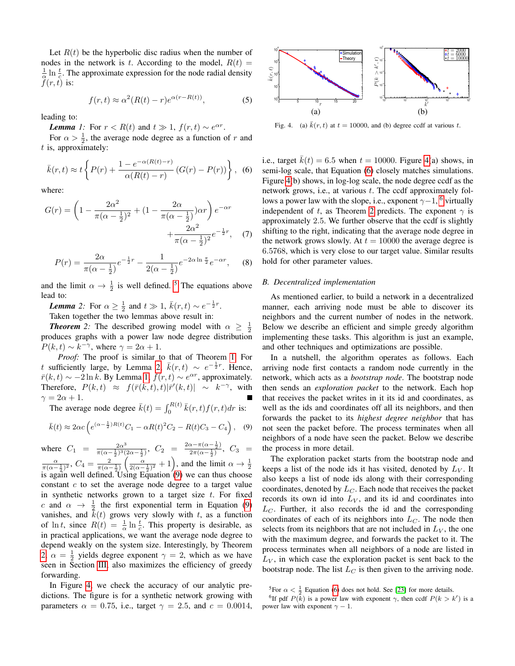Let  $R(t)$  be the hyperbolic disc radius when the number of nodes in the network is t. According to the model,  $R(t)$  =  $\frac{1}{\alpha} \ln \frac{t}{c}$ . The approximate expression for the node radial density  $f(r, t)$  is:

<span id="page-5-8"></span><span id="page-5-2"></span>
$$
f(r,t) \approx \alpha^2 (R(t) - r) e^{\alpha(r - R(t))},\tag{5}
$$

leading to:

*Lemma 1:* For  $r < R(t)$  and  $t \gg 1$ ,  $f(r, t) \sim e^{\alpha r}$ .

For  $\alpha > \frac{1}{2}$ , the average node degree as a function of r and  $t$  is, approximately:

<span id="page-5-6"></span>
$$
\bar{k}(r,t) \approx t \left\{ P(r) + \frac{1 - e^{-\alpha(R(t) - r)}}{\alpha(R(t) - r)} (G(r) - P(r)) \right\},
$$
 (6)

where:

<span id="page-5-9"></span>
$$
G(r) = \left(1 - \frac{2\alpha^2}{\pi(\alpha - \frac{1}{2})^2} + (1 - \frac{2\alpha}{\pi(\alpha - \frac{1}{2})})\alpha r\right)e^{-\alpha r} + \frac{2\alpha^2}{\pi(\alpha - \frac{1}{2})^2}e^{-\frac{1}{2}r}, \quad (7)
$$

<span id="page-5-10"></span>
$$
P(r) = \frac{2\alpha}{\pi(\alpha - \frac{1}{2})}e^{-\frac{1}{2}r} - \frac{1}{2(\alpha - \frac{1}{2})}e^{-2\alpha \ln \frac{\pi}{2}}e^{-\alpha r}, \quad (8)
$$

and the limit  $\alpha \to \frac{1}{2}$  is well defined. <sup>[5](#page-5-0)</sup> The equations above lead to:

<span id="page-5-1"></span>*Lemma* 2: For  $\alpha \ge \frac{1}{2}$  and  $t \gg 1$ ,  $\bar{k}(r, t) \sim e^{-\frac{1}{2}r}$ .

Taken together the two lemmas above result in:

**Theorem** 2: The described growing model with  $\alpha \geq \frac{1}{2}$ produces graphs with a power law node degree distribution  $P(k, t) \sim k^{-\gamma}$ , where  $\gamma = 2\alpha + 1$ .

*Proof:* The proof is similar to that of Theorem [1.](#page-2-5) For t sufficiently large, by Lemma [2,](#page-5-1)  $\bar{k}(r,t) \sim e^{-\frac{1}{2}r}$ . Hence,  $\bar{r}(k, t) \sim -2 \ln k$ . By Lemma [1,](#page-5-2)  $f(r, t) \sim e^{\alpha r}$ , approximately. Therefore,  $P(k, t) \approx f(\bar{r}(k, t), t) |\bar{r}'(k, t)| \sim k^{-\gamma}$ , with  $\gamma = 2\alpha + 1.$ 

The average node degree  $\bar{k}(t) = \int_0^{R(t)} \bar{k}(r, t) f(r, t) dr$  is:

<span id="page-5-3"></span>
$$
\bar{k}(t) \approx 2\alpha c \left( e^{(\alpha - \frac{1}{2})R(t)} C_1 - \alpha R(t)^2 C_2 - R(t) C_3 - C_4 \right),
$$
 (9)

where  $C_1 = \frac{2\alpha^3}{\pi (\alpha - 1)^3}$  $\frac{2\alpha^3}{\pi(\alpha-\frac{1}{2})^3(2\alpha-\frac{1}{2})}, C_2 = \frac{2\alpha-\pi(\alpha-\frac{1}{2})}{2\pi(\alpha-\frac{1}{2})}$  $rac{x-\pi(\alpha-\frac{1}{2})}{2\pi(\alpha-\frac{1}{2})}, C_3 =$  $rac{\alpha}{\pi(\alpha-\frac{1}{2})^2}$ ,  $C_4 = \frac{2}{\pi(\alpha-\frac{1}{2})} \left( \frac{\alpha}{2(\alpha-\frac{1}{2})^2} + 1 \right)$ , and the limit  $\alpha \to \frac{1}{2}$  is again well defined. Using Equation [\(9\)](#page-5-3) we can thus choose constant  $c$  to set the average node degree to a target value in synthetic networks grown to a target size  $t$ . For fixed c and  $\alpha \rightarrow \frac{1}{2}$  the first exponential term in Equation [\(9\)](#page-5-3) vanishes, and  $k(t)$  grows very slowly with t, as a function of  $\ln t$ , since  $R(t) = \frac{1}{\alpha} \ln \frac{t}{c}$ . This property is desirable, as in practical applications, we want the average node degree to depend weakly on the system size. Interestingly, by Theorem [2,](#page-5-4)  $\alpha = \frac{1}{2}$  yields degree exponent  $\gamma = 2$ , which as we have seen in Section [III,](#page-1-1) also maximizes the efficiency of greedy forwarding.

In Figure [4,](#page-5-5) we check the accuracy of our analytic predictions. The figure is for a synthetic network growing with parameters  $\alpha = 0.75$ , i.e., target  $\gamma = 2.5$ , and  $c = 0.0014$ ,



<span id="page-5-5"></span>Fig. 4. (a)  $\bar{k}(r, t)$  at  $t = 10000$ , and (b) degree ccdf at various t.

i.e., target  $\overline{k}(t) = 6.5$  when  $t = 10000$ . Figure [4\(](#page-5-5)a) shows, in semi-log scale, that Equation [\(6\)](#page-5-6) closely matches simulations. Figure [4\(](#page-5-5)b) shows, in log-log scale, the node degree ccdf as the network grows, i.e., at various t. The ccdf approximately follows a power law with the slope, i.e., exponent  $\gamma-1$ , <sup>[6](#page-5-7)</sup> virtually independent of t, as Theorem [2](#page-5-4) predicts. The exponent  $\gamma$  is approximately 2.5. We further observe that the ccdf is slightly shifting to the right, indicating that the average node degree in the network grows slowly. At  $t = 10000$  the average degree is 6.5768, which is very close to our target value. Similar results hold for other parameter values.

# *B. Decentralized implementation*

<span id="page-5-4"></span>As mentioned earlier, to build a network in a decentralized manner, each arriving node must be able to discover its neighbors and the current number of nodes in the network. Below we describe an efficient and simple greedy algorithm implementing these tasks. This algorithm is just an example, and other techniques and optimizations are possible.

In a nutshell, the algorithm operates as follows. Each arriving node first contacts a random node currently in the network, which acts as a *bootstrap node*. The bootstrap node then sends an *exploration packet* to the network. Each hop that receives the packet writes in it its id and coordinates, as well as the ids and coordinates off all its neighbors, and then forwards the packet to its *highest degree neighbor* that has not seen the packet before. The process terminates when all neighbors of a node have seen the packet. Below we describe the process in more detail.

The exploration packet starts from the bootstrap node and keeps a list of the node ids it has visited, denoted by  $L_V$ . It also keeps a list of node ids along with their corresponding coordinates, denoted by  $L_C$ . Each node that receives the packet records its own id into  $L_V$ , and its id and coordinates into  $L<sub>C</sub>$ . Further, it also records the id and the corresponding coordinates of each of its neighbors into  $L<sub>C</sub>$ . The node then selects from its neighbors that are not included in  $L_V$ , the one with the maximum degree, and forwards the packet to it. The process terminates when all neighbors of a node are listed in  $L_V$ , in which case the exploration packet is sent back to the bootstrap node. The list  $L_C$  is then given to the arriving node.

<span id="page-5-7"></span><span id="page-5-0"></span><sup>&</sup>lt;sup>5</sup>For  $\alpha < \frac{1}{2}$  Equation [\(6\)](#page-5-6) does not hold. See [\[23\]](#page-8-11) for more details.

<sup>&</sup>lt;sup>6</sup>If pdf  $P(\overline{k})$  is a power law with exponent  $\gamma$ , then ccdf  $P(k > k')$  is a power law with exponent  $\gamma - 1$ .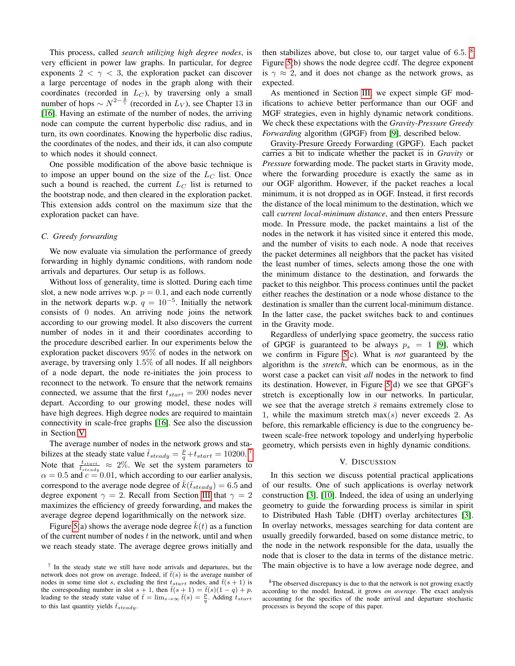This process, called *search utilizing high degree nodes*, is very efficient in power law graphs. In particular, for degree exponents  $2 < \gamma < 3$ , the exploration packet can discover a large percentage of nodes in the graph along with their coordinates (recorded in  $L_C$ ), by traversing only a small number of hops  $\sim N^{2-\frac{4}{\gamma}}$  (recorded in  $L_V$ ), see Chapter 13 in [\[16\]](#page-8-1). Having an estimate of the number of nodes, the arriving node can compute the current hyperbolic disc radius, and in turn, its own coordinates. Knowing the hyperbolic disc radius, the coordinates of the nodes, and their ids, it can also compute to which nodes it should connect.

One possible modification of the above basic technique is to impose an upper bound on the size of the  $L<sub>C</sub>$  list. Once such a bound is reached, the current  $L_C$  list is returned to the bootstrap node, and then cleared in the exploration packet. This extension adds control on the maximum size that the exploration packet can have.

# *C. Greedy forwarding*

We now evaluate via simulation the performance of greedy forwarding in highly dynamic conditions, with random node arrivals and departures. Our setup is as follows.

Without loss of generality, time is slotted. During each time slot, a new node arrives w.p.  $p = 0.1$ , and each node currently in the network departs w.p.  $q = 10^{-5}$ . Initially the network consists of 0 nodes. An arriving node joins the network according to our growing model. It also discovers the current number of nodes in it and their coordinates according to the procedure described earlier. In our experiments below the exploration packet discovers 95% of nodes in the network on average, by traversing only 1.5% of all nodes. If all neighbors of a node depart, the node re-initiates the join process to reconnect to the network. To ensure that the network remains connected, we assume that the first  $t_{start} = 200$  nodes never depart. According to our growing model, these nodes will have high degrees. High degree nodes are required to maintain connectivity in scale-free graphs [\[16\]](#page-8-1). See also the discussion in Section [V.](#page-6-0)

The average number of nodes in the network grows and stabilizes at the steady state value  $\bar{t}_{steady} = \frac{p}{q} + t_{start} = 10200$ .<sup>[7](#page-6-1)</sup> Note that  $\frac{t_{start}}{t_{steady}} \approx 2\%$ . We set the system parameters to  $\alpha = 0.5$  and  $c = 0.01$ , which according to our earlier analysis, correspond to the average node degree of  $k(\bar{t}_{steady}) = 6.5$  and degree exponent  $\gamma = 2$ . Recall from Section [III](#page-1-1) that  $\gamma = 2$ maximizes the efficiency of greedy forwarding, and makes the average degree depend logarithmically on the network size.

Figure [5\(](#page-7-15)a) shows the average node degree  $k(t)$  as a function of the current number of nodes  $t$  in the network, until and when we reach steady state. The average degree grows initially and

then stabilizes above, but close to, our target value of 6.5.  $\frac{8}{3}$  $\frac{8}{3}$  $\frac{8}{3}$ Figure [5\(](#page-7-15)b) shows the node degree ccdf. The degree exponent is  $\gamma \approx 2$ , and it does not change as the network grows, as expected.

As mentioned in Section [III,](#page-1-1) we expect simple GF modifications to achieve better performance than our OGF and MGF strategies, even in highly dynamic network conditions. We check these expectations with the *Gravity-Pressure Greedy Forwarding* algorithm (GPGF) from [\[9\]](#page-7-9), described below.

Gravity-Presure Greedy Forwarding (GPGF). Each packet carries a bit to indicate whether the packet is in *Gravity* or *Pressure* forwarding mode. The packet starts in Gravity mode, where the forwarding procedure is exactly the same as in our OGF algorithm. However, if the packet reaches a local minimum, it is not dropped as in OGF. Instead, it first records the distance of the local minimum to the destination, which we call *current local-minimum distance*, and then enters Pressure mode. In Pressure mode, the packet maintains a list of the nodes in the network it has visited since it entered this mode, and the number of visits to each node. A node that receives the packet determines all neighbors that the packet has visited the least number of times, selects among those the one with the minimum distance to the destination, and forwards the packet to this neighbor. This process continues until the packet either reaches the destination or a node whose distance to the destination is smaller than the current local-minimum distance. In the latter case, the packet switches back to and continues in the Gravity mode.

Regardless of underlying space geometry, the success ratio of GPGF is guaranteed to be always  $p_s = 1$  [\[9\]](#page-7-9), which we confirm in Figure [5\(](#page-7-15)c). What is *not* guaranteed by the algorithm is the *stretch*, which can be enormous, as in the worst case a packet can visit *all* nodes in the network to find its destination. However, in Figure [5\(](#page-7-15)d) we see that GPGF's stretch is exceptionally low in our networks. In particular, we see that the average stretch  $\bar{s}$  remains extremely close to 1, while the maximum stretch  $max(s)$  never exceeds 2. As before, this remarkable efficiency is due to the congruency between scale-free network topology and underlying hyperbolic geometry, which persists even in highly dynamic conditions.

## V. DISCUSSION

<span id="page-6-0"></span>In this section we discuss potential practical applications of our results. One of such applications is overlay network construction [\[3\]](#page-7-2), [\[10\]](#page-7-10). Indeed, the idea of using an underlying geometry to guide the forwarding process is similar in spirit to Distributed Hash Table (DHT) overlay architectures [\[3\]](#page-7-2). In overlay networks, messages searching for data content are usually greedily forwarded, based on some distance metric, to the node in the network responsible for the data, usually the node that is closer to the data in terms of the distance metric. The main objective is to have a low average node degree, and

<span id="page-6-1"></span><sup>7</sup> In the steady state we still have node arrivals and departures, but the network does not grow on average. Indeed, if  $\bar{t}(s)$  is the average number of nodes in some time slot s, excluding the first  $t_{start}$  nodes, and  $\bar{t}(s + 1)$  is the corresponding number in slot  $s + 1$ , then  $\bar{t}(s + 1) = \bar{t}(s)(1 - q) + p$ , leading to the steady state value of  $\bar{t} = \lim_{s \to \infty} \bar{t}(s) = \frac{p}{q}$ . Adding  $t_{start}$ to this last quantity yields  $\bar{t}_{steady}$ .

<span id="page-6-2"></span><sup>&</sup>lt;sup>8</sup>The observed discrepancy is due to that the network is not growing exactly according to the model. Instead, it grows *on average*. The exact analysis accounting for the specifics of the node arrival and departure stochastic processes is beyond the scope of this paper.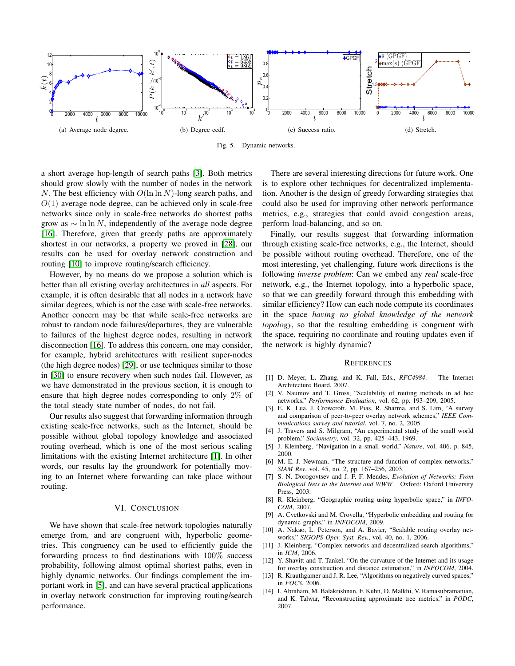

<span id="page-7-15"></span>Fig. 5. Dynamic networks.

a short average hop-length of search paths [\[3\]](#page-7-2). Both metrics should grow slowly with the number of nodes in the network N. The best efficiency with  $O(\ln \ln N)$ -long search paths, and  $O(1)$  average node degree, can be achieved only in scale-free networks since only in scale-free networks do shortest paths grow as  $\sim \ln \ln N$ , independently of the average node degree [\[16\]](#page-8-1). Therefore, given that greedy paths are approximately shortest in our networks, a property we proved in [\[28\]](#page-8-13), our results can be used for overlay network construction and routing [\[10\]](#page-7-10) to improve routing/search efficiency.

However, by no means do we propose a solution which is better than all existing overlay architectures in *all* aspects. For example, it is often desirable that all nodes in a network have similar degrees, which is not the case with scale-free networks. Another concern may be that while scale-free networks are robust to random node failures/departures, they are vulnerable to failures of the highest degree nodes, resulting in network disconnection [\[16\]](#page-8-1). To address this concern, one may consider, for example, hybrid architectures with resilient super-nodes (the high degree nodes) [\[29\]](#page-8-14), or use techniques similar to those in [\[30\]](#page-8-15) to ensure recovery when such nodes fail. However, as we have demonstrated in the previous section, it is enough to ensure that high degree nodes corresponding to only 2% of the total steady state number of nodes, do not fail.

Our results also suggest that forwarding information through existing scale-free networks, such as the Internet, should be possible without global topology knowledge and associated routing overhead, which is one of the most serious scaling limitations with the existing Internet architecture [\[1\]](#page-7-0). In other words, our results lay the groundwork for potentially moving to an Internet where forwarding can take place without routing.

# VI. CONCLUSION

<span id="page-7-7"></span>We have shown that scale-free network topologies naturally emerge from, and are congruent with, hyperbolic geometries. This congruency can be used to efficiently guide the forwarding process to find destinations with 100% success probability, following almost optimal shortest paths, even in highly dynamic networks. Our findings complement the important work in [\[5\]](#page-7-4), and can have several practical applications in overlay network construction for improving routing/search performance.

There are several interesting directions for future work. One is to explore other techniques for decentralized implementation. Another is the design of greedy forwarding strategies that could also be used for improving other network performance metrics, e.g., strategies that could avoid congestion areas, perform load-balancing, and so on.

Finally, our results suggest that forwarding information through existing scale-free networks, e.g., the Internet, should be possible without routing overhead. Therefore, one of the most interesting, yet challenging, future work directions is the following *inverse problem*: Can we embed any *real* scale-free network, e.g., the Internet topology, into a hyperbolic space, so that we can greedily forward through this embedding with similar efficiency? How can each node compute its coordinates in the space *having no global knowledge of the network topology*, so that the resulting embedding is congruent with the space, requiring no coordinate and routing updates even if the network is highly dynamic?

#### **REFERENCES**

- <span id="page-7-0"></span>[1] D. Meyer, L. Zhang, and K. Fall, Eds., *RFC4984*. The Internet Architecture Board, 2007.
- <span id="page-7-1"></span>[2] V. Naumov and T. Gross, "Scalability of routing methods in ad hoc networks," *Performance Evaluation*, vol. 62, pp. 193–209, 2005.
- <span id="page-7-2"></span>[3] E. K. Lua, J. Crowcroft, M. Pias, R. Sharma, and S. Lim, "A survey and comparison of peer-to-peer overlay network schemes," *IEEE Communications survey and tutorial*, vol. 7, no. 2, 2005.
- <span id="page-7-3"></span>[4] J. Travers and S. Milgram, "An experimental study of the small world problem," *Sociometry*, vol. 32, pp. 425–443, 1969.
- <span id="page-7-4"></span>[5] J. Kleinberg, "Navigation in a small world," *Nature*, vol. 406, p. 845, 2000.
- <span id="page-7-5"></span>[6] M. E. J. Newman, "The structure and function of complex networks," *SIAM Rev*, vol. 45, no. 2, pp. 167–256, 2003.
- <span id="page-7-6"></span>[7] S. N. Dorogovtsev and J. F. F. Mendes, *Evolution of Networks: From Biological Nets to the Internet and WWW*. Oxford: Oxford University Press, 2003.
- <span id="page-7-8"></span>[8] R. Kleinberg, "Geographic routing using hyperbolic space," in *INFO-COM*, 2007.
- <span id="page-7-9"></span>[9] A. Cvetkovski and M. Crovella, "Hyperbolic embedding and routing for dynamic graphs," in *INFOCOM*, 2009.
- <span id="page-7-10"></span>[10] A. Nakao, L. Peterson, and A. Bavier, "Scalable routing overlay networks," *SIGOPS Oper. Syst. Rev.*, vol. 40, no. 1, 2006.
- <span id="page-7-11"></span>[11] J. Kleinberg, "Complex networks and decentralized search algorithms," in *ICM*, 2006.
- <span id="page-7-12"></span>[12] Y. Shavitt and T. Tankel, "On the curvature of the Internet and its usage for overlay construction and distance estimation," in *INFOCOM*, 2004.
- <span id="page-7-13"></span>[13] R. Krauthgamer and J. R. Lee, "Algorithms on negatively curved spaces," in *FOCS*, 2006.
- <span id="page-7-14"></span>[14] I. Abraham, M. Balakrishnan, F. Kuhn, D. Malkhi, V. Ramasubramanian, and K. Talwar, "Reconstructing approximate tree metrics," in *PODC*, 2007.